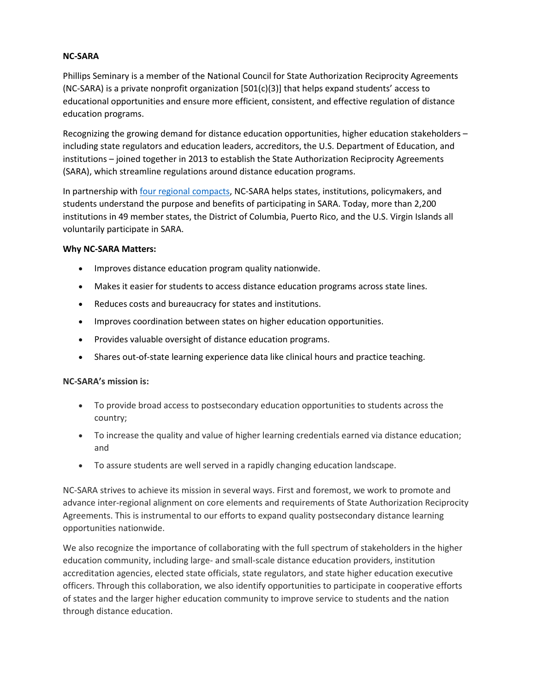## **NC-SARA**

Phillips Seminary is a member of the National Council for State Authorization Reciprocity Agreements (NC-SARA) is a private nonprofit organization [501(c)(3)] that helps expand students' access to educational opportunities and ensure more efficient, consistent, and effective regulation of distance education programs.

Recognizing the growing demand for distance education opportunities, higher education stakeholders – including state regulators and education leaders, accreditors, the U.S. Department of Education, and institutions – joined together in 2013 to establish the State Authorization Reciprocity Agreements (SARA), which streamline regulations around distance education programs.

In partnership with [four regional compacts,](https://www.nc-sara.org/regional-education-compacts) NC-SARA helps states, institutions, policymakers, and students understand the purpose and benefits of participating in SARA. Today, more than 2,200 institutions in 49 member states, the District of Columbia, Puerto Rico, and the U.S. Virgin Islands all voluntarily participate in SARA.

## **Why NC-SARA Matters:**

- Improves distance education program quality nationwide.
- Makes it easier for students to access distance education programs across state lines.
- Reduces costs and bureaucracy for states and institutions.
- Improves coordination between states on higher education opportunities.
- Provides valuable oversight of distance education programs.
- Shares out-of-state learning experience data like clinical hours and practice teaching.

## **NC-SARA's mission is:**

- To provide broad access to postsecondary education opportunities to students across the country;
- To increase the quality and value of higher learning credentials earned via distance education; and
- To assure students are well served in a rapidly changing education landscape.

NC-SARA strives to achieve its mission in several ways. First and foremost, we work to promote and advance inter-regional alignment on core elements and requirements of State Authorization Reciprocity Agreements. This is instrumental to our efforts to expand quality postsecondary distance learning opportunities nationwide.

We also recognize the importance of collaborating with the full spectrum of stakeholders in the higher education community, including large- and small-scale distance education providers, institution accreditation agencies, elected state officials, state regulators, and state higher education executive officers. Through this collaboration, we also identify opportunities to participate in cooperative efforts of states and the larger higher education community to improve service to students and the nation through distance education.